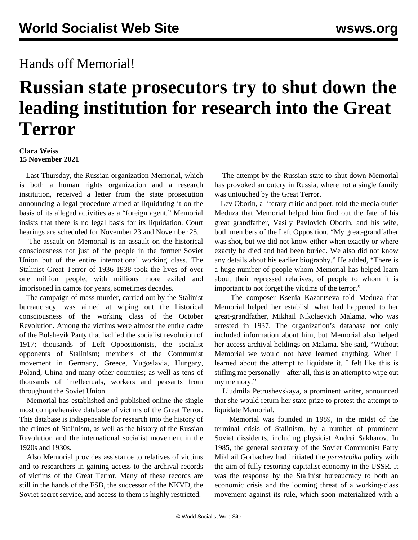## Hands off Memorial!

## **Russian state prosecutors try to shut down the leading institution for research into the Great Terror**

## **Clara Weiss 15 November 2021**

 Last Thursday, the Russian organization Memorial, which is both a human rights organization and a research institution, received a letter from the state prosecution announcing a legal procedure aimed at liquidating it on the basis of its alleged activities as a "foreign agent." Memorial insists that there is no legal basis for its liquidation. Court hearings are scheduled for November 23 and November 25.

 The assault on Memorial is an assault on the historical consciousness not just of the people in the former Soviet Union but of the entire international working class. The Stalinist Great Terror of 1936-1938 took the lives of over one million people, with millions more exiled and imprisoned in camps for years, sometimes decades.

 The campaign of mass murder, carried out by the Stalinist bureaucracy, was aimed at wiping out the historical consciousness of the working class of the October Revolution. Among the victims were almost the entire cadre of the Bolshevik Party that had led the socialist revolution of 1917; thousands of Left Oppositionists, the socialist opponents of Stalinism; members of the Communist movement in Germany, Greece, Yugoslavia, Hungary, Poland, China and many other countries; as well as tens of thousands of intellectuals, workers and peasants from throughout the Soviet Union.

 Memorial has established and published online the single most comprehensive database of victims of the Great Terror. This database is indispensable for research into the history of the crimes of Stalinism, as well as the history of the Russian Revolution and the international socialist movement in the 1920s and 1930s.

 Also Memorial provides assistance to relatives of victims and to researchers in gaining access to the archival records of victims of the Great Terror. Many of these records are still in the hands of the FSB, the successor of the NKVD, the Soviet secret service, and access to them is highly restricted.

 The attempt by the Russian state to shut down Memorial has provoked an outcry in Russia, where not a single family was untouched by the Great Terror.

 Lev Oborin, a literary critic and poet, told the media outlet Meduza that Memorial helped him find out the fate of his great grandfather, Vasily Pavlovich Oborin, and his wife, both members of the Left Opposition. "My great-grandfather was shot, but we did not know either when exactly or where exactly he died and had been buried. We also did not know any details about his earlier biography." He added, "There is a huge number of people whom Memorial has helped learn about their repressed relatives, of people to whom it is important to not forget the victims of the terror."

 The composer Ksenia Kazantseva told Meduza that Memorial helped her establish what had happened to her great-grandfather, Mikhail Nikolaevich Malama, who was arrested in 1937. The organization's database not only included information about him, but Memorial also helped her access archival holdings on Malama. She said, "Without Memorial we would not have learned anything. When I learned about the attempt to liquidate it, I felt like this is stifling me personally—after all, this is an attempt to wipe out my memory."

 Liudmila Petrushevskaya, a prominent writer, announced that she would return her state prize to protest the attempt to liquidate Memorial.

 Memorial was founded in 1989, in the midst of the terminal crisis of Stalinism, by a number of prominent Soviet dissidents, including physicist Andrei Sakharov. In 1985, the general secretary of the Soviet Communist Party Mikhail Gorbachev had initiated the *perestroika* policy with the aim of fully restoring capitalist economy in the USSR. It was the response by the Stalinist bureaucracy to both an economic crisis and the looming threat of a working-class movement against its rule, which soon materialized with a